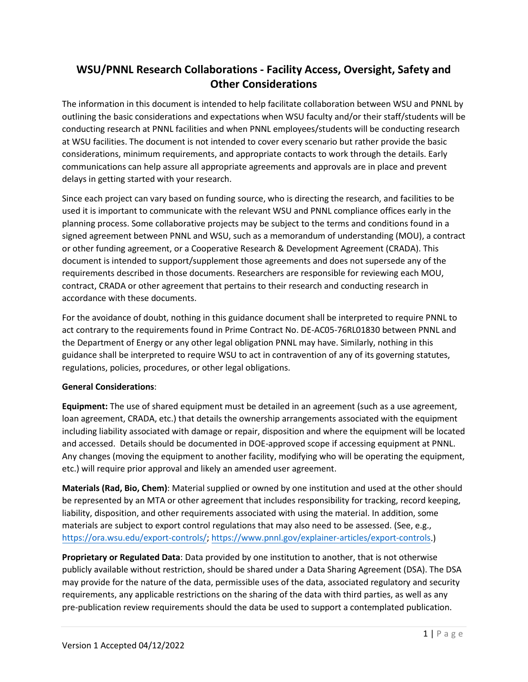# **WSU/PNNL Research Collaborations - Facility Access, Oversight, Safety and Other Considerations**

The information in this document is intended to help facilitate collaboration between WSU and PNNL by outlining the basic considerations and expectations when WSU faculty and/or their staff/students will be conducting research at PNNL facilities and when PNNL employees/students will be conducting research at WSU facilities. The document is not intended to cover every scenario but rather provide the basic considerations, minimum requirements, and appropriate contacts to work through the details. Early communications can help assure all appropriate agreements and approvals are in place and prevent delays in getting started with your research.

Since each project can vary based on funding source, who is directing the research, and facilities to be used it is important to communicate with the relevant WSU and PNNL compliance offices early in the planning process. Some collaborative projects may be subject to the terms and conditions found in a signed agreement between PNNL and WSU, such as a memorandum of understanding (MOU), a contract or other funding agreement, or a Cooperative Research & Development Agreement (CRADA). This document is intended to support/supplement those agreements and does not supersede any of the requirements described in those documents. Researchers are responsible for reviewing each MOU, contract, CRADA or other agreement that pertains to their research and conducting research in accordance with these documents.

For the avoidance of doubt, nothing in this guidance document shall be interpreted to require PNNL to act contrary to the requirements found in Prime Contract No. DE-AC05-76RL01830 between PNNL and the Department of Energy or any other legal obligation PNNL may have. Similarly, nothing in this guidance shall be interpreted to require WSU to act in contravention of any of its governing statutes, regulations, policies, procedures, or other legal obligations.

#### **General Considerations**:

**Equipment:** The use of shared equipment must be detailed in an agreement (such as a use agreement, loan agreement, CRADA, etc.) that details the ownership arrangements associated with the equipment including liability associated with damage or repair, disposition and where the equipment will be located and accessed. Details should be documented in DOE-approved scope if accessing equipment at PNNL. Any changes (moving the equipment to another facility, modifying who will be operating the equipment, etc.) will require prior approval and likely an amended user agreement.

**Materials (Rad, Bio, Chem)**: Material supplied or owned by one institution and used at the other should be represented by an MTA or other agreement that includes responsibility for tracking, record keeping, liability, disposition, and other requirements associated with using the material. In addition, some materials are subject to export control regulations that may also need to be assessed. (See, e.g., [https://ora.wsu.edu/export-controls/;](https://ora.wsu.edu/export-controls/) [https://www.pnnl.gov/explainer-articles/export-controls.](https://www.pnnl.gov/explainer-articles/export-controls))

**Proprietary or Regulated Data**: Data provided by one institution to another, that is not otherwise publicly available without restriction, should be shared under a Data Sharing Agreement (DSA). The DSA may provide for the nature of the data, permissible uses of the data, associated regulatory and security requirements, any applicable restrictions on the sharing of the data with third parties, as well as any pre-publication review requirements should the data be used to support a contemplated publication.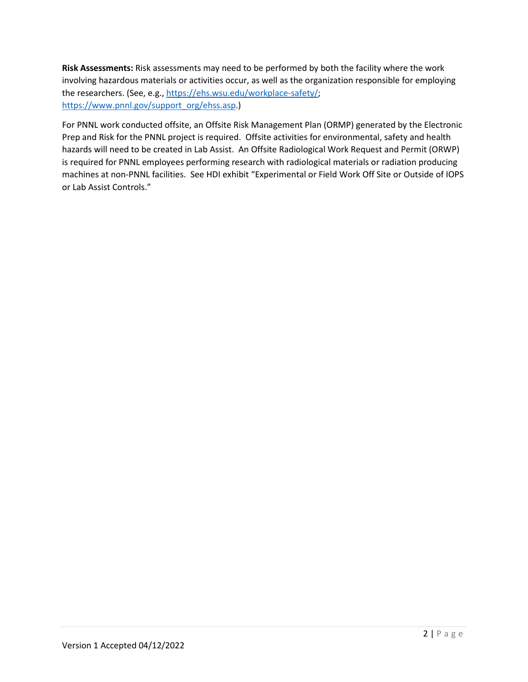**Risk Assessments:** Risk assessments may need to be performed by both the facility where the work involving hazardous materials or activities occur, as well as the organization responsible for employing the researchers. (See, e.g., [https://ehs.wsu.edu/workplace-safety/;](https://ehs.wsu.edu/workplace-safety/) [https://www.pnnl.gov/support\\_org/ehss.asp.](https://www.pnnl.gov/support_org/ehss.asp))

For PNNL work conducted offsite, an Offsite Risk Management Plan (ORMP) generated by the Electronic Prep and Risk for the PNNL project is required. Offsite activities for environmental, safety and health hazards will need to be created in Lab Assist. An Offsite Radiological Work Request and Permit (ORWP) is required for PNNL employees performing research with radiological materials or radiation producing machines at non-PNNL facilities. See HDI exhibit "Experimental or Field Work Off Site or Outside of IOPS or Lab Assist Controls."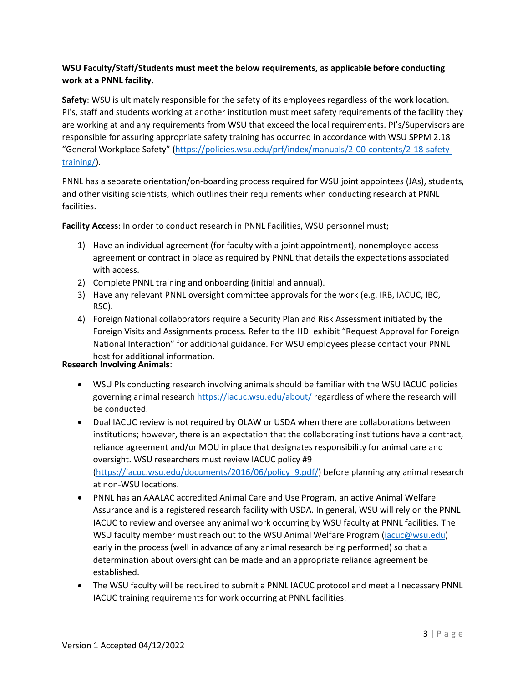### **WSU Faculty/Staff/Students must meet the below requirements, as applicable before conducting work at a PNNL facility.**

**Safety**: WSU is ultimately responsible for the safety of its employees regardless of the work location. PI's, staff and students working at another institution must meet safety requirements of the facility they are working at and any requirements from WSU that exceed the local requirements. PI's/Supervisors are responsible for assuring appropriate safety training has occurred in accordance with WSU SPPM 2.18 "General Workplace Safety" [\(https://policies.wsu.edu/prf/index/manuals/2-00-contents/2-18-safety](https://policies.wsu.edu/prf/index/manuals/2-00-contents/2-18-safety-training/)[training/\)](https://policies.wsu.edu/prf/index/manuals/2-00-contents/2-18-safety-training/).

PNNL has a separate orientation/on-boarding process required for WSU joint appointees (JAs), students, and other visiting scientists, which outlines their requirements when conducting research at PNNL facilities.

**Facility Access**: In order to conduct research in PNNL Facilities, WSU personnel must;

- 1) Have an individual agreement (for faculty with a joint appointment), nonemployee access agreement or contract in place as required by PNNL that details the expectations associated with access.
- 2) Complete PNNL training and onboarding (initial and annual).
- 3) Have any relevant PNNL oversight committee approvals for the work (e.g. IRB, IACUC, IBC, RSC).
- 4) Foreign National collaborators require a Security Plan and Risk Assessment initiated by the Foreign Visits and Assignments process. Refer to the HDI exhibit "Request Approval for Foreign National Interaction" for additional guidance. For WSU employees please contact your PNNL host for additional information.

#### **Research Involving Animals**:

- WSU PIs conducting research involving animals should be familiar with the WSU IACUC policies governing animal researc[h https://iacuc.wsu.edu/about/](https://iacuc.wsu.edu/about/) regardless of where the research will be conducted.
- Dual IACUC review is not required by OLAW or USDA when there are collaborations between institutions; however, there is an expectation that the collaborating institutions have a contract, reliance agreement and/or MOU in place that designates responsibility for animal care and oversight. WSU researchers must review IACUC policy #9 [\(https://iacuc.wsu.edu/documents/2016/06/policy\\_9.pdf/\)](https://iacuc.wsu.edu/documents/2016/06/policy_9.pdf/) before planning any animal research at non-WSU locations.
- PNNL has an AAALAC accredited Animal Care and Use Program, an active Animal Welfare Assurance and is a registered research facility with USDA. In general, WSU will rely on the PNNL IACUC to review and oversee any animal work occurring by WSU faculty at PNNL facilities. The WSU faculty member must reach out to the WSU Animal Welfare Program [\(iacuc@wsu.edu\)](mailto:iacuc@wsu.edu) early in the process (well in advance of any animal research being performed) so that a determination about oversight can be made and an appropriate reliance agreement be established.
- The WSU faculty will be required to submit a PNNL IACUC protocol and meet all necessary PNNL IACUC training requirements for work occurring at PNNL facilities.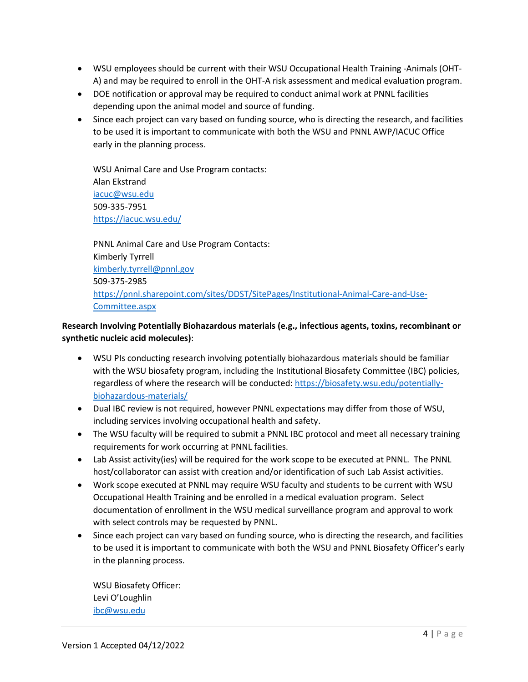- WSU employees should be current with their WSU Occupational Health Training -Animals (OHT-A) and may be required to enroll in the OHT-A risk assessment and medical evaluation program.
- DOE notification or approval may be required to conduct animal work at PNNL facilities depending upon the animal model and source of funding.
- Since each project can vary based on funding source, who is directing the research, and facilities to be used it is important to communicate with both the WSU and PNNL AWP/IACUC Office early in the planning process.

WSU Animal Care and Use Program contacts: Alan Ekstrand [iacuc@wsu.edu](mailto:iacuc@wsu.edu) 509-335-7951 <https://iacuc.wsu.edu/>

PNNL Animal Care and Use Program Contacts: Kimberly Tyrrell [kimberly.tyrrell@pnnl.gov](mailto:kimberly.tyrrell@pnnl.gov)  509-375-2985 [https://pnnl.sharepoint.com/sites/DDST/SitePages/Institutional-Animal-Care-and-Use-](https://pnnl.sharepoint.com/sites/DDST/SitePages/Institutional-Animal-Care-and-Use-Committee.aspx)[Committee.aspx](https://pnnl.sharepoint.com/sites/DDST/SitePages/Institutional-Animal-Care-and-Use-Committee.aspx) 

## **Research Involving Potentially Biohazardous materials (e.g., infectious agents, toxins, recombinant or synthetic nucleic acid molecules)**:

- WSU PIs conducting research involving potentially biohazardous materials should be familiar with the WSU biosafety program, including the Institutional Biosafety Committee (IBC) policies, regardless of where the research will be conducted: [https://biosafety.wsu.edu/potentially](https://biosafety.wsu.edu/potentially-biohazardous-materials/)[biohazardous-materials/](https://biosafety.wsu.edu/potentially-biohazardous-materials/)
- Dual IBC review is not required, however PNNL expectations may differ from those of WSU, including services involving occupational health and safety.
- The WSU faculty will be required to submit a PNNL IBC protocol and meet all necessary training requirements for work occurring at PNNL facilities.
- Lab Assist activity(ies) will be required for the work scope to be executed at PNNL. The PNNL host/collaborator can assist with creation and/or identification of such Lab Assist activities.
- Work scope executed at PNNL may require WSU faculty and students to be current with WSU Occupational Health Training and be enrolled in a medical evaluation program. Select documentation of enrollment in the WSU medical surveillance program and approval to work with select controls may be requested by PNNL.
- Since each project can vary based on funding source, who is directing the research, and facilities to be used it is important to communicate with both the WSU and PNNL Biosafety Officer's early in the planning process.

WSU Biosafety Officer: Levi O'Loughlin [ibc@wsu.edu](mailto:ibc@wsu.edu)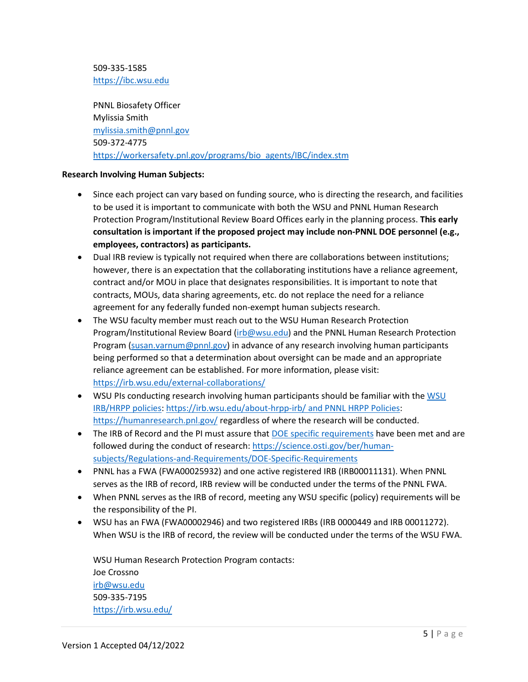509-335-1585 [https://ibc.wsu.edu](https://ibc.wsu.edu/)

PNNL Biosafety Officer Mylissia Smith [mylissia.smith@pnnl.gov](mailto:mylissia.smith@pnnl.gov) 509-372-4775 [https://workersafety.pnl.gov/programs/bio\\_agents/IBC/index.stm](https://workersafety.pnl.gov/programs/bio_agents/IBC/index.stm)

#### **Research Involving Human Subjects:**

- Since each project can vary based on funding source, who is directing the research, and facilities to be used it is important to communicate with both the WSU and PNNL Human Research Protection Program/Institutional Review Board Offices early in the planning process. **This early consultation is important if the proposed project may include non-PNNL DOE personnel (e.g., employees, contractors) as participants.**
- Dual IRB review is typically not required when there are collaborations between institutions; however, there is an expectation that the collaborating institutions have a reliance agreement, contract and/or MOU in place that designates responsibilities. It is important to note that contracts, MOUs, data sharing agreements, etc. do not replace the need for a reliance agreement for any federally funded non-exempt human subjects research.
- The WSU faculty member must reach out to the WSU Human Research Protection Program/Institutional Review Board [\(irb@wsu.edu\)](mailto:irb@wsu.edu) and the PNNL Human Research Protection Program [\(susan.varnum@pnnl.gov\)](mailto:susan.varnum@pnnl.gov) in advance of any research involving human participants being performed so that a determination about oversight can be made and an appropriate reliance agreement can be established. For more information, please visit: <https://irb.wsu.edu/external-collaborations/>
- • [WSU](https://irb.wsu.edu/about-hrpp-irb/%20regardless%20of%20where%20the%20research%20will%20be%20conducted.) PIs conducting research involving human participants should be familiar with the WSU [IRB/HRPP policies:](https://irb.wsu.edu/about-hrpp-irb/%20regardless%20of%20where%20the%20research%20will%20be%20conducted.) https://irb.wsu.edu/about-hrpp-irb/ an[d PNNL HRPP Policies:](https://ori.pnnl.gov/Default.aspx) <https://humanresearch.pnl.gov/> regardless of where the research will be conducted.
- The IRB of Record and the PI must assure that [DOE specific requirements](https://science.osti.gov/ber/human-subjects/Regulations-and-Requirements/DOE-Specific-Requirements) have been met and are followed during the conduct of research[: https://science.osti.gov/ber/human](https://science.osti.gov/ber/human-subjects/Regulations-and-Requirements/DOE-Specific-Requirements)[subjects/Regulations-and-Requirements/DOE-Specific-Requirements](https://science.osti.gov/ber/human-subjects/Regulations-and-Requirements/DOE-Specific-Requirements)
- PNNL has a FWA (FWA00025932) and one active registered IRB (IRB00011131). When PNNL serves as the IRB of record, IRB review will be conducted under the terms of the PNNL FWA.
- When PNNL serves as the IRB of record, meeting any WSU specific (policy) requirements will be the responsibility of the PI.
- WSU has an FWA (FWA00002946) and two registered IRBs (IRB 0000449 and IRB 00011272). When WSU is the IRB of record, the review will be conducted under the terms of the WSU FWA.

WSU Human Research Protection Program contacts: Joe Crossno [irb@wsu.edu](mailto:irb@wsu.edu) 509-335-7195 <https://irb.wsu.edu/>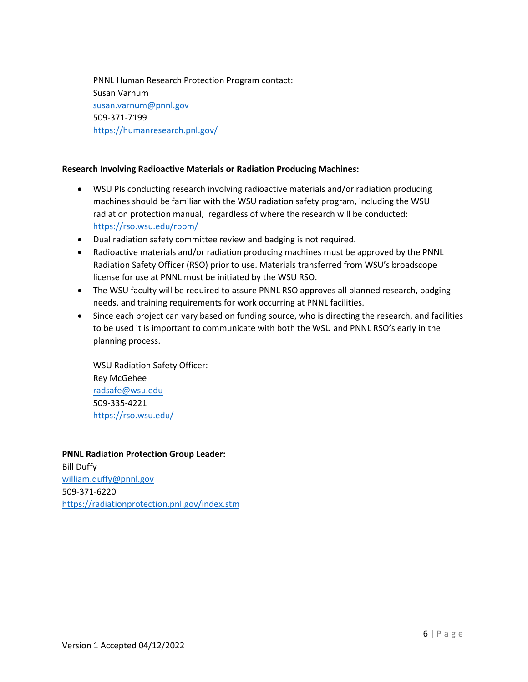PNNL Human Research Protection Program contact: Susan Varnum [susan.varnum@pnnl.gov](mailto:susan.varnum@pnnl.gov) 509-371-7199 <https://humanresearch.pnl.gov/>

#### **Research Involving Radioactive Materials or Radiation Producing Machines:**

- WSU PIs conducting research involving radioactive materials and/or radiation producing machines should be familiar with the WSU radiation safety program, including the WSU radiation protection manual, regardless of where the research will be conducted: <https://rso.wsu.edu/rppm/>
- Dual radiation safety committee review and badging is not required.
- Radioactive materials and/or radiation producing machines must be approved by the PNNL Radiation Safety Officer (RSO) prior to use. Materials transferred from WSU's broadscope license for use at PNNL must be initiated by the WSU RSO.
- The WSU faculty will be required to assure PNNL RSO approves all planned research, badging needs, and training requirements for work occurring at PNNL facilities.
- Since each project can vary based on funding source, who is directing the research, and facilities to be used it is important to communicate with both the WSU and PNNL RSO's early in the planning process.

WSU Radiation Safety Officer: Rey McGehee [radsafe@wsu.edu](mailto:radsafe@wsu.edu) 509-335-4221 <https://rso.wsu.edu/>

#### **PNNL Radiation Protection Group Leader:**

Bill Duffy [william.duffy@pnnl.gov](mailto:william.duffy@pnnl.gov) 509-371-6220 <https://radiationprotection.pnl.gov/index.stm>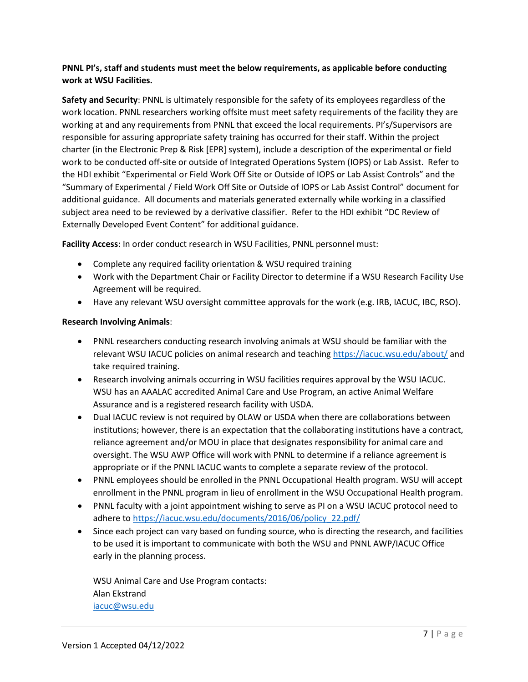#### **PNNL PI's, staff and students must meet the below requirements, as applicable before conducting work at WSU Facilities.**

**Safety and Security**: PNNL is ultimately responsible for the safety of its employees regardless of the work location. PNNL researchers working offsite must meet safety requirements of the facility they are working at and any requirements from PNNL that exceed the local requirements. PI's/Supervisors are responsible for assuring appropriate safety training has occurred for their staff. Within the project charter (in the Electronic Prep & Risk [EPR] system), include a description of the experimental or field work to be conducted off-site or outside of Integrated Operations System (IOPS) or Lab Assist. Refer to the HDI exhibit "Experimental or Field Work Off Site or Outside of IOPS or Lab Assist Controls" and the "Summary of Experimental / Field Work Off Site or Outside of IOPS or Lab Assist Control" document for additional guidance. All documents and materials generated externally while working in a classified subject area need to be reviewed by a derivative classifier. Refer to the HDI exhibit "DC Review of Externally Developed Event Content" for additional guidance.

**Facility Access**: In order conduct research in WSU Facilities, PNNL personnel must:

- Complete any required facility orientation & WSU required training
- Work with the Department Chair or Facility Director to determine if a WSU Research Facility Use Agreement will be required.
- Have any relevant WSU oversight committee approvals for the work (e.g. IRB, IACUC, IBC, RSO).

#### **Research Involving Animals**:

- PNNL researchers conducting research involving animals at WSU should be familiar with the relevant WSU IACUC policies on animal research and teaching<https://iacuc.wsu.edu/about/> and take required training.
- Research involving animals occurring in WSU facilities requires approval by the WSU IACUC. WSU has an AAALAC accredited Animal Care and Use Program, an active Animal Welfare Assurance and is a registered research facility with USDA.
- Dual IACUC review is not required by OLAW or USDA when there are collaborations between institutions; however, there is an expectation that the collaborating institutions have a contract, reliance agreement and/or MOU in place that designates responsibility for animal care and oversight. The WSU AWP Office will work with PNNL to determine if a reliance agreement is appropriate or if the PNNL IACUC wants to complete a separate review of the protocol.
- PNNL employees should be enrolled in the PNNL Occupational Health program. WSU will accept enrollment in the PNNL program in lieu of enrollment in the WSU Occupational Health program.
- PNNL faculty with a joint appointment wishing to serve as PI on a WSU IACUC protocol need to adhere to https://iacuc.wsu.edu/documents/2016/06/policy\_22.pdf/
- Since each project can vary based on funding source, who is directing the research, and facilities to be used it is important to communicate with both the WSU and PNNL AWP/IACUC Office early in the planning process.

WSU Animal Care and Use Program contacts: Alan Ekstrand [iacuc@wsu.edu](mailto:iacuc@wsu.edu)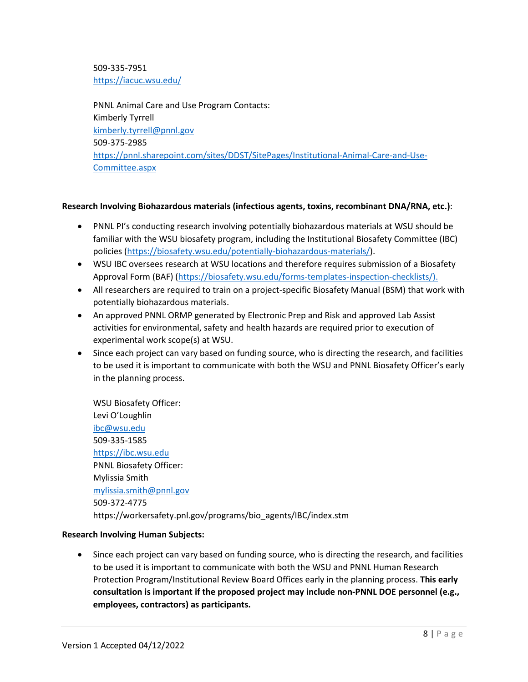509-335-7951 <https://iacuc.wsu.edu/>

PNNL Animal Care and Use Program Contacts: Kimberly Tyrrell [kimberly.tyrrell@pnnl.gov](mailto:kimberly.tyrrell@pnnl.gov)  509-375-2985 [https://pnnl.sharepoint.com/sites/DDST/SitePages/Institutional-Animal-Care-and-Use-](https://pnnl.sharepoint.com/sites/DDST/SitePages/Institutional-Animal-Care-and-Use-Committee.aspx)[Committee.aspx](https://pnnl.sharepoint.com/sites/DDST/SitePages/Institutional-Animal-Care-and-Use-Committee.aspx)

#### **Research Involving Biohazardous materials (infectious agents, toxins, recombinant DNA/RNA, etc.)**:

- PNNL PI's conducting research involving potentially biohazardous materials at WSU should be familiar with the WSU biosafety program, including the Institutional Biosafety Committee (IBC) policies [\(https://biosafety.wsu.edu/potentially-biohazardous-materials/\)](https://biosafety.wsu.edu/potentially-biohazardous-materials/).
- WSU IBC oversees research at WSU locations and therefore requires submission of a Biosafety Approval Form (BAF) [\(https://biosafety.wsu.edu/forms-templates-inspection-checklists/\)](https://biosafety.wsu.edu/forms-templates-inspection-checklists/).
- All researchers are required to train on a project-specific Biosafety Manual (BSM) that work with potentially biohazardous materials.
- An approved PNNL ORMP generated by Electronic Prep and Risk and approved Lab Assist activities for environmental, safety and health hazards are required prior to execution of experimental work scope(s) at WSU.
- Since each project can vary based on funding source, who is directing the research, and facilities to be used it is important to communicate with both the WSU and PNNL Biosafety Officer's early in the planning process.

WSU Biosafety Officer: Levi O'Loughlin [ibc@wsu.edu](mailto:ibc@wsu.edu)  509-335-1585 [https://ibc.wsu.edu](https://ibc.wsu.edu/) PNNL Biosafety Officer: Mylissia Smith [mylissia.smith@pnnl.gov](mailto:mylissia.smith@pnnl.gov) 509-372-4775 https://workersafety.pnl.gov/programs/bio\_agents/IBC/index.stm

#### **Research Involving Human Subjects:**

• Since each project can vary based on funding source, who is directing the research, and facilities to be used it is important to communicate with both the WSU and PNNL Human Research Protection Program/Institutional Review Board Offices early in the planning process. **This early consultation is important if the proposed project may include non-PNNL DOE personnel (e.g., employees, contractors) as participants.**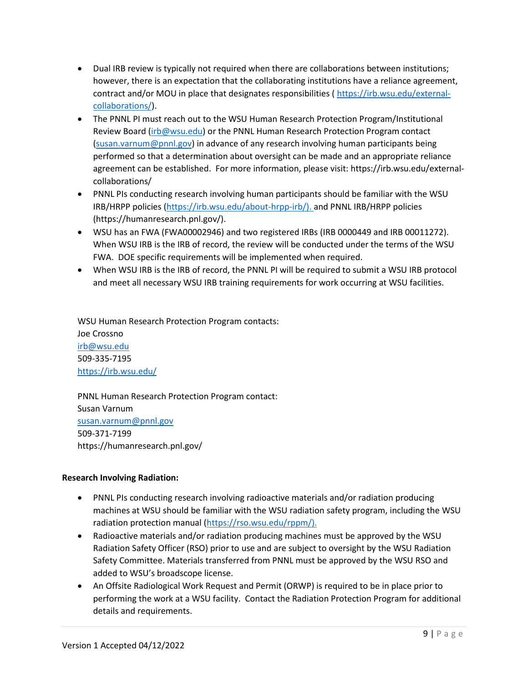- Dual IRB review is typically not required when there are collaborations between institutions; however, there is an expectation that the collaborating institutions have a reliance agreement, contract and/or MOU in place that designates responsibilities ( [https://irb.wsu.edu/external](https://irb.wsu.edu/external-collaborations/)[collaborations/\)](https://irb.wsu.edu/external-collaborations/).
- The PNNL PI must reach out to the WSU Human Research Protection Program/Institutional Review Board [\(irb@wsu.edu\)](mailto:irb@wsu.edu) or the PNNL Human Research Protection Program contact [\(susan.varnum@pnnl.gov\)](mailto:susan.varnum@pnnl.gov) in advance of any research involving human participants being performed so that a determination about oversight can be made and an appropriate reliance agreement can be established. For more information, please visit: https://irb.wsu.edu/externalcollaborations/
- PNNL PIs conducting research involving human participants should be familiar with the WSU IRB/HRPP policies [\(https://irb.wsu.edu/about-hrpp-irb/\)](https://irb.wsu.edu/about-hrpp-irb/). and PNNL IRB/HRPP policies (https://humanresearch.pnl.gov/).
- WSU has an FWA (FWA00002946) and two registered IRBs (IRB 0000449 and IRB 00011272). When WSU IRB is the IRB of record, the review will be conducted under the terms of the WSU FWA. DOE specific requirements will be implemented when required.
- When WSU IRB is the IRB of record, the PNNL PI will be required to submit a WSU IRB protocol and meet all necessary WSU IRB training requirements for work occurring at WSU facilities.

WSU Human Research Protection Program contacts: Joe Crossno

[irb@wsu.edu](mailto:irb@wsu.edu) 509-335-7195 <https://irb.wsu.edu/>

PNNL Human Research Protection Program contact: Susan Varnum [susan.varnum@pnnl.gov](mailto:susan.varnum@pnnl.gov) 509-371-7199 https://humanresearch.pnl.gov/

#### **Research Involving Radiation:**

- PNNL PIs conducting research involving radioactive materials and/or radiation producing machines at WSU should be familiar with the WSU radiation safety program, including the WSU radiation protection manual [\(https://rso.wsu.edu/rppm/\)](https://rso.wsu.edu/rppm/).
- Radioactive materials and/or radiation producing machines must be approved by the WSU Radiation Safety Officer (RSO) prior to use and are subject to oversight by the WSU Radiation Safety Committee. Materials transferred from PNNL must be approved by the WSU RSO and added to WSU's broadscope license.
- An Offsite Radiological Work Request and Permit (ORWP) is required to be in place prior to performing the work at a WSU facility. Contact the Radiation Protection Program for additional details and requirements.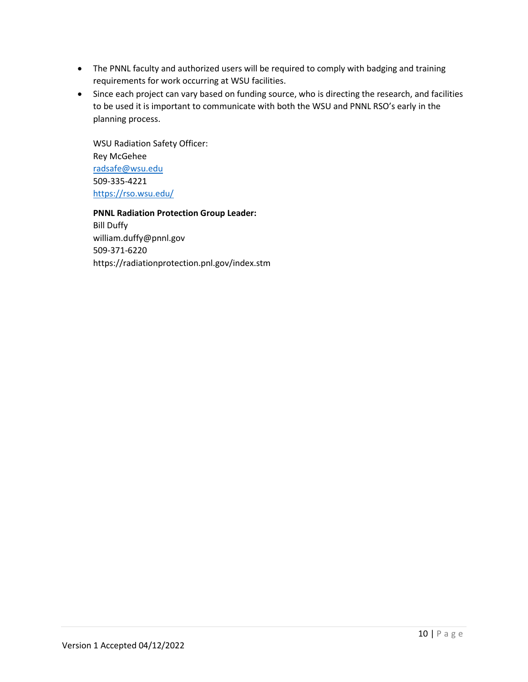- The PNNL faculty and authorized users will be required to comply with badging and training requirements for work occurring at WSU facilities.
- Since each project can vary based on funding source, who is directing the research, and facilities to be used it is important to communicate with both the WSU and PNNL RSO's early in the planning process.

WSU Radiation Safety Officer: Rey McGehee [radsafe@wsu.edu](mailto:radsafe@wsu.edu) 509-335-4221 <https://rso.wsu.edu/>

**PNNL Radiation Protection Group Leader:** Bill Duffy william.duffy@pnnl.gov 509-371-6220

https://radiationprotection.pnl.gov/index.stm